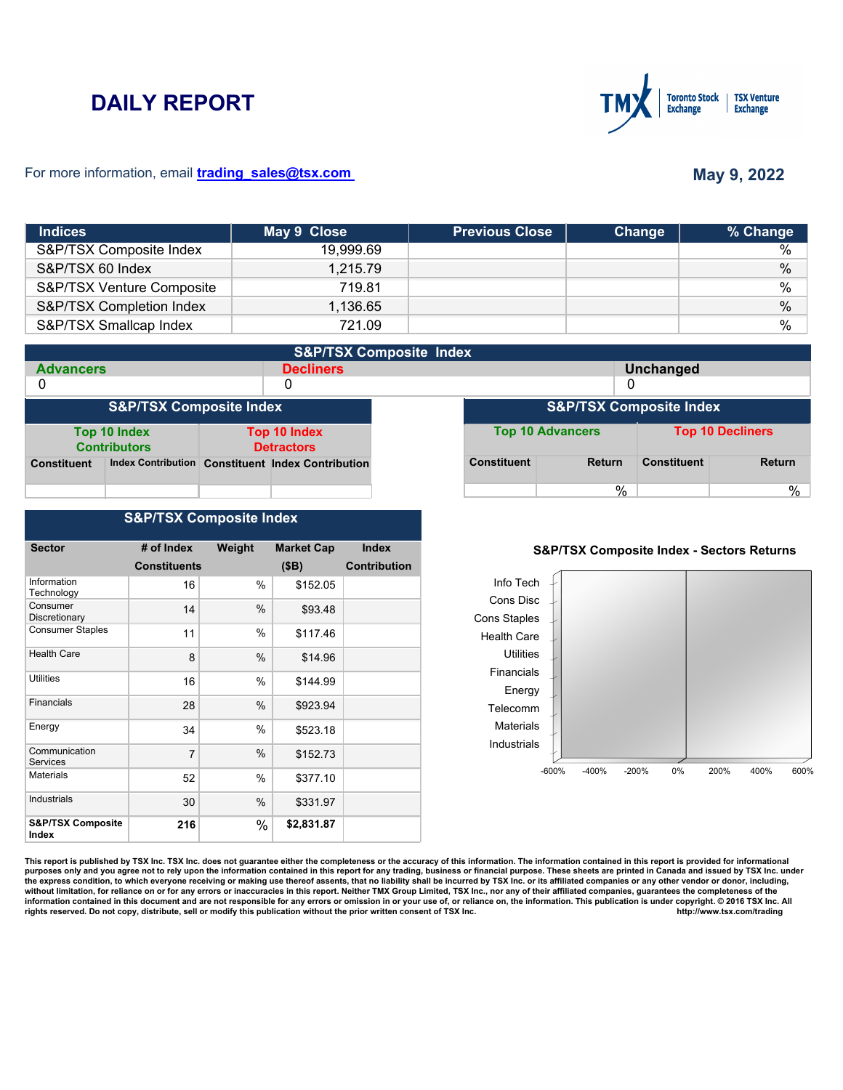# **DAILY REPORT**



### For more information, email **trading\_sales@tsx.com**

# **May 9, 2022**

| <b>Indices</b>            | May 9 Close | <b>Previous Close</b> | Change | % Change      |
|---------------------------|-------------|-----------------------|--------|---------------|
| S&P/TSX Composite Index   | 19,999.69   |                       |        | %             |
| S&P/TSX 60 Index          | 1,215.79    |                       |        | $\%$          |
| S&P/TSX Venture Composite | 719.81      |                       |        | $\frac{0}{0}$ |
| S&P/TSX Completion Index  | 1,136.65    |                       |        | $\%$          |
| S&P/TSX Smallcap Index    | 721.09      |                       |        | $\frac{0}{0}$ |

| <b>S&amp;P/TSX Composite Index</b>                                                     |  |  |                                                   |                         |                                    |                         |                    |               |
|----------------------------------------------------------------------------------------|--|--|---------------------------------------------------|-------------------------|------------------------------------|-------------------------|--------------------|---------------|
| <b>Advancers</b>                                                                       |  |  | <b>Decliners</b>                                  |                         |                                    |                         | Unchanged          |               |
| 0                                                                                      |  |  | 0                                                 |                         | 0                                  |                         |                    |               |
| <b>S&amp;P/TSX Composite Index</b>                                                     |  |  |                                                   |                         | <b>S&amp;P/TSX Composite Index</b> |                         |                    |               |
| <b>Top 10 Index</b><br><b>Top 10 Index</b><br><b>Contributors</b><br><b>Detractors</b> |  |  |                                                   | <b>Top 10 Advancers</b> |                                    | <b>Top 10 Decliners</b> |                    |               |
| <b>Constituent</b>                                                                     |  |  | Index Contribution Constituent Index Contribution |                         | <b>Constituent</b>                 | <b>Return</b>           | <b>Constituent</b> | <b>Return</b> |
|                                                                                        |  |  |                                                   |                         |                                    | %                       |                    | %             |

## **S&P/TSX Composite Index**

| <b>Sector</b>                         | # of Index          | Weight | <b>Market Cap</b> | <b>Index</b>        |
|---------------------------------------|---------------------|--------|-------------------|---------------------|
|                                       | <b>Constituents</b> |        | (SB)              | <b>Contribution</b> |
| Information<br>Technology             | 16                  | %      | \$152.05          |                     |
| Consumer<br>Discretionary             | 14                  | $\%$   | \$93.48           |                     |
| <b>Consumer Staples</b>               | 11                  | $\%$   | \$117.46          |                     |
| <b>Health Care</b>                    | 8                   | %      | \$14.96           |                     |
| Utilities                             | 16                  | %      | \$144.99          |                     |
| Financials                            | 28                  | %      | \$923.94          |                     |
| Energy                                | 34                  | %      | \$523.18          |                     |
| Communication<br>Services             | $\overline{7}$      | $\%$   | \$152.73          |                     |
| <b>Materials</b>                      | 52                  | %      | \$377.10          |                     |
| <b>Industrials</b>                    | 30                  | %      | \$331.97          |                     |
| <b>S&amp;P/TSX Composite</b><br>Index | 216                 | %      | \$2,831.87        |                     |

#### **S&P/TSX Composite Index - Sectors Returns**



This report is published by TSX Inc. TSX Inc. does not guarantee either the completeness or the accuracy of this information. The information contained in this report is provided for informational **purposes only and you agree not to rely upon the information contained in this report for any trading, business or financial purpose. These sheets are printed in Canada and issued by TSX Inc. under**  the express condition, to which everyone receiving or making use thereof assents, that no liability shall be incurred by TSX Inc. or its affiliated companies or any other vendor or donor, including,<br>without limitation, for information contained in this document and are not responsible for any errors or omission in or your use of, or reliance on, the information. This publication is under copyright. © 2016 TSX Inc. All <br>
rights reserved. Do n rights reserved. Do not copy, distribute, sell or modify this publication without the prior written consent of TSX Inc.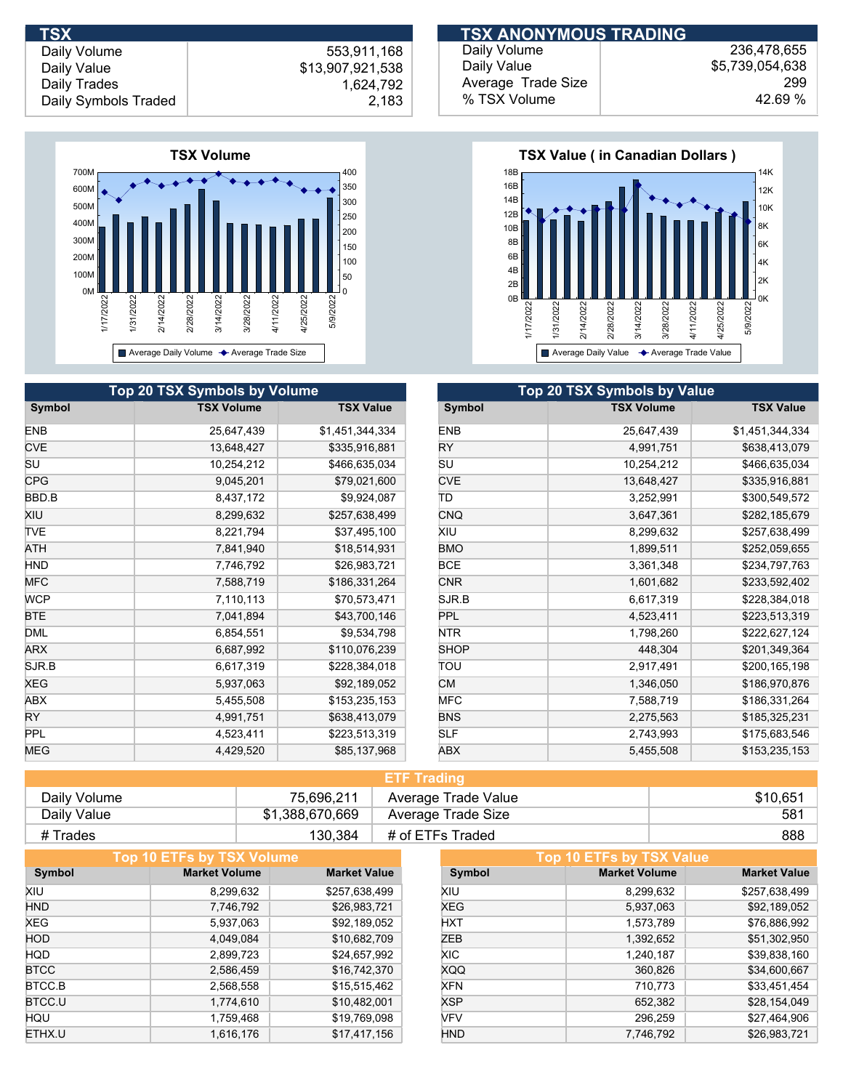**TSX ANONYMOUS TRADING** 

Daily Volume Daily Value Daily Trades

 553,911,168 \$13,907,921,538 1,624,792 Daily Symbols Traded 2,183



| Daily Volume       | 236.478.655     |
|--------------------|-----------------|
| Daily Value        | \$5,739,054,638 |
| Average Trade Size | 299             |
| % TSX Volume       | 42.69 %         |
|                    |                 |



 $\overline{1}$ 

| Top 20 TSX Symbols by Volume      |                   |                  | <b>Top 20 TSX Symbols by Value</b> |                   |                  |  |
|-----------------------------------|-------------------|------------------|------------------------------------|-------------------|------------------|--|
| Symbol                            | <b>TSX Volume</b> | <b>TSX Value</b> | Symbol                             | <b>TSX Volume</b> | <b>TSX Value</b> |  |
| <b>ENB</b>                        | 25,647,439        | \$1,451,344,334  | <b>ENB</b>                         | 25,647,439        | \$1,451,344,334  |  |
| <b>CVE</b>                        | 13,648,427        | \$335,916,881    | <b>RY</b>                          | 4,991,751         | \$638,413,079    |  |
| $\overline{\mathsf{S}}\mathsf{U}$ | 10,254,212        | \$466,635,034    | SU                                 | 10,254,212        | \$466,635,034    |  |
| <b>CPG</b>                        | 9,045,201         | \$79,021,600     | <b>CVE</b>                         | 13,648,427        | \$335,916,881    |  |
| BBD.B                             | 8,437,172         | \$9,924,087      | ΙTD                                | 3,252,991         | \$300,549,572    |  |
| XIU                               | 8,299,632         | \$257,638,499    | <b>CNQ</b>                         | 3,647,361         | \$282,185,679    |  |
| TVE                               | 8,221,794         | \$37,495,100     | <b>XIU</b>                         | 8,299,632         | \$257,638,499    |  |
| ATH                               | 7,841,940         | \$18,514,931     | <b>BMO</b>                         | 1,899,511         | \$252,059,655    |  |
| HND                               | 7,746,792         | \$26,983,721     | <b>BCE</b>                         | 3,361,348         | \$234,797,763    |  |
| MFC.                              | 7,588,719         | \$186,331,264    | <b>CNR</b>                         | 1,601,682         | \$233,592,402    |  |
| <b>WCP</b>                        | 7,110,113         | \$70,573,471     | SJR B                              | 6,617,319         | \$228,384,018    |  |
| <b>BTE</b>                        | 7,041,894         | \$43,700,146     | <b>PPL</b>                         | 4,523,411         | \$223,513,319    |  |
| dml                               | 6,854,551         | \$9,534,798      | NTR.                               | 1,798,260         | \$222,627,124    |  |
| <b>ARX</b>                        | 6,687,992         | \$110,076,239    | <b>SHOP</b>                        | 448,304           | \$201,349,364    |  |
| SJR.B                             | 6,617,319         | \$228,384,018    | ΤΟυ                                | 2,917,491         | \$200,165,198    |  |
| XEG                               | 5,937,063         | \$92,189,052     | <b>CM</b>                          | 1,346,050         | \$186,970,876    |  |
| ABX                               | 5,455,508         | \$153,235,153    | <b>MFC</b>                         | 7,588,719         | \$186,331,264    |  |
| <b>RY</b>                         | 4,991,751         | \$638,413,079    | <b>BNS</b>                         | 2,275,563         | \$185,325,231    |  |
| PPL                               | 4,523,411         | \$223,513,319    | <b>SLF</b>                         | 2,743,993         | \$175,683,546    |  |
| MEG                               | 4,429,520         | \$85,137,968     | ABX                                | 5,455,508         | \$153,235,153    |  |

| <b>ETF Trading</b> |                 |                     |          |  |  |
|--------------------|-----------------|---------------------|----------|--|--|
| Daily Volume       | 75,696,211      | Average Trade Value | \$10.651 |  |  |
| Daily Value        | \$1,388,670,669 | Average Trade Size  | -581     |  |  |
| # Trades           | 130,384         | # of ETFs Traded    | 888      |  |  |

|             | Top 10 ETFs by TSX Volume |                     |            | Top 10 ETFs by TSX Value |                     |
|-------------|---------------------------|---------------------|------------|--------------------------|---------------------|
| Symbol      | <b>Market Volume</b>      | <b>Market Value</b> | Symbol     | <b>Market Volume</b>     | <b>Market Value</b> |
| XIU         | 8,299,632                 | \$257,638,499       | XIU        | 8,299,632                | \$257,638,499       |
| <b>HND</b>  | 7,746,792                 | \$26,983,721        | <b>XEG</b> | 5,937,063                | \$92,189,052        |
| <b>XEG</b>  | 5,937,063                 | \$92,189,052        | <b>HXT</b> | 1,573,789                | \$76,886,992        |
| <b>HOD</b>  | 4,049,084                 | \$10,682,709        | <b>ZEB</b> | 1,392,652                | \$51,302,950        |
| <b>HQD</b>  | 2,899,723                 | \$24,657,992        | XIC.       | 1,240,187                | \$39,838,160        |
| <b>BTCC</b> | 2,586,459                 | \$16,742,370        | <b>XQQ</b> | 360,826                  | \$34,600,667        |
| BTCC.B      | 2,568,558                 | \$15,515,462        | <b>XFN</b> | 710.773                  | \$33,451,454        |
| BTCC.U      | 1,774,610                 | \$10,482,001        | <b>XSP</b> | 652,382                  | \$28,154,049        |
| HQU         | 1,759,468                 | \$19,769,098        | <b>VFV</b> | 296.259                  | \$27,464,906        |
| ETHX.U      | 1.616.176                 | \$17,417,156        | <b>HND</b> | 7.746.792                | \$26,983,721        |